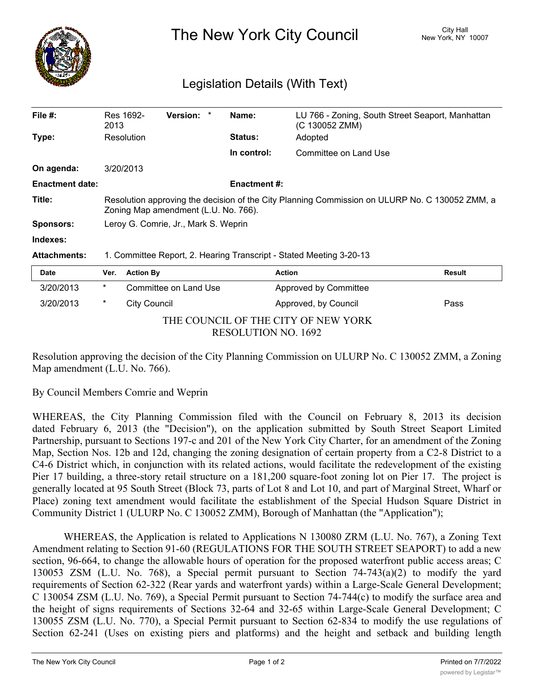

The New York City Council New York, NY 10007

## Legislation Details (With Text)

| File $#$ :             | Res 1692-<br>2013                                                                                                                      | <b>Version:</b><br>$\ast$ | Name:          | LU 766 - Zoning, South Street Seaport, Manhattan<br>(C 130052 ZMM) |               |
|------------------------|----------------------------------------------------------------------------------------------------------------------------------------|---------------------------|----------------|--------------------------------------------------------------------|---------------|
| Type:                  | Resolution                                                                                                                             |                           | <b>Status:</b> | Adopted                                                            |               |
|                        |                                                                                                                                        |                           | In control:    | Committee on Land Use                                              |               |
| On agenda:             | 3/20/2013                                                                                                                              |                           |                |                                                                    |               |
| <b>Enactment date:</b> | <b>Enactment #:</b>                                                                                                                    |                           |                |                                                                    |               |
| Title:                 | Resolution approving the decision of the City Planning Commission on ULURP No. C 130052 ZMM, a<br>Zoning Map amendment (L.U. No. 766). |                           |                |                                                                    |               |
| <b>Sponsors:</b>       | Leroy G. Comrie, Jr., Mark S. Weprin                                                                                                   |                           |                |                                                                    |               |
| Indexes:               |                                                                                                                                        |                           |                |                                                                    |               |
| <b>Attachments:</b>    | 1. Committee Report, 2. Hearing Transcript - Stated Meeting 3-20-13                                                                    |                           |                |                                                                    |               |
| Date                   | Ver.                                                                                                                                   | <b>Action By</b>          |                | <b>Action</b>                                                      | <b>Result</b> |
| 3/20/2013              | $\star$                                                                                                                                | Committee on Land Use     |                | Approved by Committee                                              |               |
| 3/20/2013              | $\ast$                                                                                                                                 | <b>City Council</b>       |                | Approved, by Council                                               | Pass          |

THE COUNCIL OF THE CITY OF NEW YORK RESOLUTION NO. 1692

Resolution approving the decision of the City Planning Commission on ULURP No. C 130052 ZMM, a Zoning Map amendment (L.U. No. 766).

By Council Members Comrie and Weprin

WHEREAS, the City Planning Commission filed with the Council on February 8, 2013 its decision dated February 6, 2013 (the "Decision"), on the application submitted by South Street Seaport Limited Partnership, pursuant to Sections 197-c and 201 of the New York City Charter, for an amendment of the Zoning Map, Section Nos. 12b and 12d, changing the zoning designation of certain property from a C2-8 District to a C4-6 District which, in conjunction with its related actions, would facilitate the redevelopment of the existing Pier 17 building, a three-story retail structure on a 181,200 square-foot zoning lot on Pier 17. The project is generally located at 95 South Street (Block 73, parts of Lot 8 and Lot 10, and part of Marginal Street, Wharf or Place) zoning text amendment would facilitate the establishment of the Special Hudson Square District in Community District 1 (ULURP No. C 130052 ZMM), Borough of Manhattan (the "Application");

WHEREAS, the Application is related to Applications N 130080 ZRM (L.U. No. 767), a Zoning Text Amendment relating to Section 91-60 (REGULATIONS FOR THE SOUTH STREET SEAPORT) to add a new section, 96-664, to change the allowable hours of operation for the proposed waterfront public access areas; C 130053 ZSM (L.U. No. 768), a Special permit pursuant to Section 74-743(a)(2) to modify the yard requirements of Section 62-322 (Rear yards and waterfront yards) within a Large-Scale General Development; C 130054 ZSM (L.U. No. 769), a Special Permit pursuant to Section 74-744(c) to modify the surface area and the height of signs requirements of Sections 32-64 and 32-65 within Large-Scale General Development; C 130055 ZSM (L.U. No. 770), a Special Permit pursuant to Section 62-834 to modify the use regulations of Section 62-241 (Uses on existing piers and platforms) and the height and setback and building length